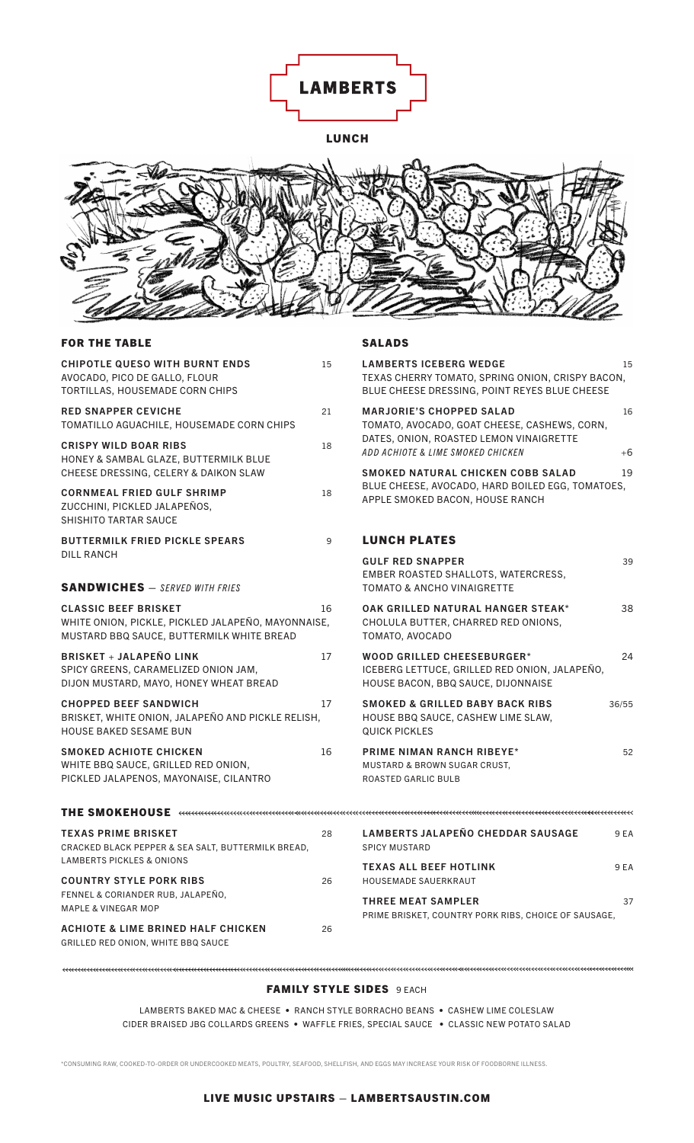

LUNCH



## FOR THE TABLE

| <b>FOR THE TABLE</b>                                                                                                           |    | <b>SALADS</b>                                                                                                                      |            |
|--------------------------------------------------------------------------------------------------------------------------------|----|------------------------------------------------------------------------------------------------------------------------------------|------------|
| CHIPOTLE QUESO WITH BURNT ENDS<br>AVOCADO, PICO DE GALLO, FLOUR<br>TORTILLAS, HOUSEMADE CORN CHIPS                             | 15 | <b>LAMBERTS ICEBERG WEDGE</b><br>TEXAS CHERRY TOMATO, SPRING ONION, CRISPY BACON,<br>BLUE CHEESE DRESSING, POINT REYES BLUE CHEESE | 15         |
| <b>RED SNAPPER CEVICHE</b><br>TOMATILLO AGUACHILE, HOUSEMADE CORN CHIPS                                                        | 21 | <b>MARJORIE'S CHOPPED SALAD</b><br>TOMATO, AVOCADO, GOAT CHEESE, CASHEWS, CORN,                                                    | 16         |
| <b>CRISPY WILD BOAR RIBS</b><br>HONEY & SAMBAL GLAZE, BUTTERMILK BLUE<br>CHEESE DRESSING, CELERY & DAIKON SLAW                 | 18 | DATES, ONION, ROASTED LEMON VINAIGRETTE<br>ADD ACHIOTE & LIME SMOKED CHICKEN<br>SMOKED NATURAL CHICKEN COBB SALAD                  | $+6$<br>19 |
| <b>CORNMEAL FRIED GULF SHRIMP</b><br>ZUCCHINI, PICKLED JALAPEÑOS,<br><b>SHISHITO TARTAR SAUCE</b>                              | 18 | BLUE CHEESE, AVOCADO, HARD BOILED EGG, TOMATOES,<br>APPLE SMOKED BACON, HOUSE RANCH                                                |            |
| <b>BUTTERMILK FRIED PICKLE SPEARS</b>                                                                                          | 9  | <b>LUNCH PLATES</b>                                                                                                                |            |
| DILL RANCH<br><b>SANDWICHES</b> - SERVED WITH FRIES                                                                            |    | <b>GULF RED SNAPPER</b><br>EMBER ROASTED SHALLOTS, WATERCRESS,<br><b>TOMATO &amp; ANCHO VINAIGRETTE</b>                            | 39         |
| <b>CLASSIC BEEF BRISKET</b><br>WHITE ONION, PICKLE, PICKLED JALAPEÑO, MAYONNAISE,<br>MUSTARD BBQ SAUCE, BUTTERMILK WHITE BREAD | 16 | OAK GRILLED NATURAL HANGER STEAK*<br>CHOLULA BUTTER, CHARRED RED ONIONS,<br>TOMATO, AVOCADO                                        | 38         |
| <b>BRISKET + JALAPEÑO LINK</b><br>SPICY GREENS, CARAMELIZED ONION JAM,<br>DIJON MUSTARD, MAYO, HONEY WHEAT BREAD               | 17 | <b>WOOD GRILLED CHEESEBURGER*</b><br>ICEBERG LETTUCE, GRILLED RED ONION, JALAPEÑO,<br>HOUSE BACON, BBQ SAUCE, DIJONNAISE           | 24         |
| <b>CHOPPED BEEF SANDWICH</b><br>BRISKET, WHITE ONION, JALAPEÑO AND PICKLE RELISH,<br><b>HOUSE BAKED SESAME BUN</b>             | 17 | <b>SMOKED &amp; GRILLED BABY BACK RIBS</b><br>36/55<br>HOUSE BBQ SAUCE, CASHEW LIME SLAW,<br><b>QUICK PICKLES</b>                  |            |
| <b>SMOKED ACHIOTE CHICKEN</b><br>WHITE BBQ SAUCE, GRILLED RED ONION,<br>PICKLED JALAPENOS, MAYONAISE, CILANTRO                 | 16 | <b>PRIME NIMAN RANCH RIBEYE*</b><br>MUSTARD & BROWN SUGAR CRUST,<br>ROASTED GARLIC BULB                                            | 52         |
| THE SMOKEHOUSE <del>the common controller and controller common controller controller controller</del>                         |    |                                                                                                                                    |            |
| <b>TEXAS PRIME BRISKET</b><br>CRACKED BLACK PEPPER & SEA SALT, BUTTERMILK BREAD,<br><b>LAMBERTS PICKLES &amp; ONIONS</b>       | 28 | <b>LAMBERTS JALAPEÑO CHEDDAR SAUSAGE</b><br><b>SPICY MUSTARD</b>                                                                   | 9 EA       |
| <b>COUNTRY STYLE PORK RIBS</b>                                                                                                 | 26 | <b>TEXAS ALL BEEF HOTLINK</b><br>HOUSEMADE SAUERKRAUT                                                                              | 9 EA       |
| FENNEL & CORIANDER RUB, JALAPEÑO,<br><b>MAPLE &amp; VINEGAR MOP</b>                                                            |    | <b>THREE MEAT SAMPLER</b><br>PRIME BRISKET, COUNTRY PORK RIBS, CHOICE OF SAUSAGE,                                                  | 37         |
| <b>ACHIOTE &amp; LIME BRINED HALF CHICKEN</b><br>GRILLED RED ONION, WHITE BBQ SAUCE                                            | 26 |                                                                                                                                    |            |

## FAMILY STYLE SIDES 9 EACH

LAMBERTS BAKED MAC & CHEESE • RANCH STYLE BORRACHO BEANS • CASHEW LIME COLESLAW CIDER BRAISED JBG COLLARDS GREENS • WAFFLE FRIES, SPECIAL SAUCE • CLASSIC NEW POTATO SALAD

\*CONSUMING RAW, COOKED-TO-ORDER OR UNDERCOOKED MEATS, POULTRY, SEAFOOD, SHELLFISH, AND EGGS MAY INCREASE YOUR RISK OF FOODBORNE ILLNESS.

## LIVE MUSIC UPSTAIRS – LAMBERTSAUSTIN.COM